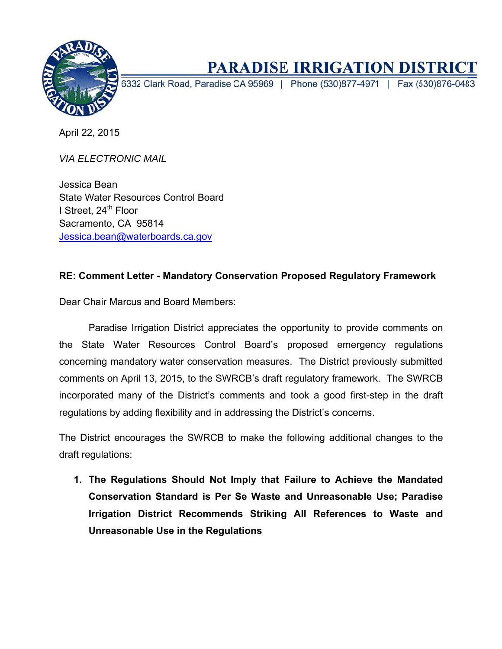

# **PARADISE IRRIGATION DISTRICT**

6332 Clark Road, Paradise CA 95969 | Phone (530)877-4971 | Fax (530)876-0483

April 22, 2015

**VIA ELECTRONIC MAIL** 

Jessica Bean **State Water Resources Control Board** I Street, 24<sup>th</sup> Floor Sacramento, CA 95814 Jessica.bean@waterboards.ca.gov

#### RE: Comment Letter - Mandatory Conservation Proposed Regulatory Framework

Dear Chair Marcus and Board Members:

Paradise Irrigation District appreciates the opportunity to provide comments on the State Water Resources Control Board's proposed emergency regulations concerning mandatory water conservation measures. The District previously submitted comments on April 13, 2015, to the SWRCB's draft regulatory framework. The SWRCB incorporated many of the District's comments and took a good first-step in the draft regulations by adding flexibility and in addressing the District's concerns.

The District encourages the SWRCB to make the following additional changes to the draft regulations:

1. The Regulations Should Not Imply that Failure to Achieve the Mandated Conservation Standard is Per Se Waste and Unreasonable Use; Paradise Irrigation District Recommends Striking All References to Waste and Unreasonable Use in the Regulations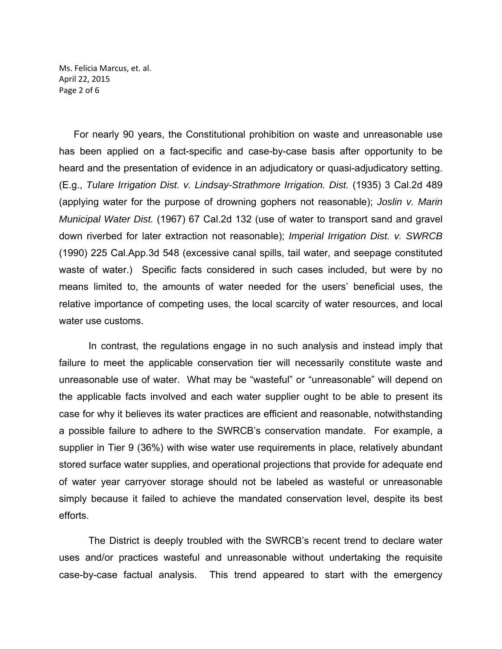Ms. Felicia Marcus, et. al. April 22, 2015 Page 2 of 6

For nearly 90 years, the Constitutional prohibition on waste and unreasonable use has been applied on a fact-specific and case-by-case basis after opportunity to be heard and the presentation of evidence in an adjudicatory or quasi-adjudicatory setting. (E.g., *Tulare Irrigation Dist. v. Lindsay-Strathmore Irrigation. Dist.* (1935) 3 Cal.2d 489 (applying water for the purpose of drowning gophers not reasonable); *Joslin v. Marin Municipal Water Dist.* (1967) 67 Cal.2d 132 (use of water to transport sand and gravel down riverbed for later extraction not reasonable); *Imperial Irrigation Dist. v. SWRCB*  (1990) 225 Cal.App.3d 548 (excessive canal spills, tail water, and seepage constituted waste of water.) Specific facts considered in such cases included, but were by no means limited to, the amounts of water needed for the users' beneficial uses, the relative importance of competing uses, the local scarcity of water resources, and local water use customs.

In contrast, the regulations engage in no such analysis and instead imply that failure to meet the applicable conservation tier will necessarily constitute waste and unreasonable use of water. What may be "wasteful" or "unreasonable" will depend on the applicable facts involved and each water supplier ought to be able to present its case for why it believes its water practices are efficient and reasonable, notwithstanding a possible failure to adhere to the SWRCB's conservation mandate. For example, a supplier in Tier 9 (36%) with wise water use requirements in place, relatively abundant stored surface water supplies, and operational projections that provide for adequate end of water year carryover storage should not be labeled as wasteful or unreasonable simply because it failed to achieve the mandated conservation level, despite its best efforts.

The District is deeply troubled with the SWRCB's recent trend to declare water uses and/or practices wasteful and unreasonable without undertaking the requisite case-by-case factual analysis. This trend appeared to start with the emergency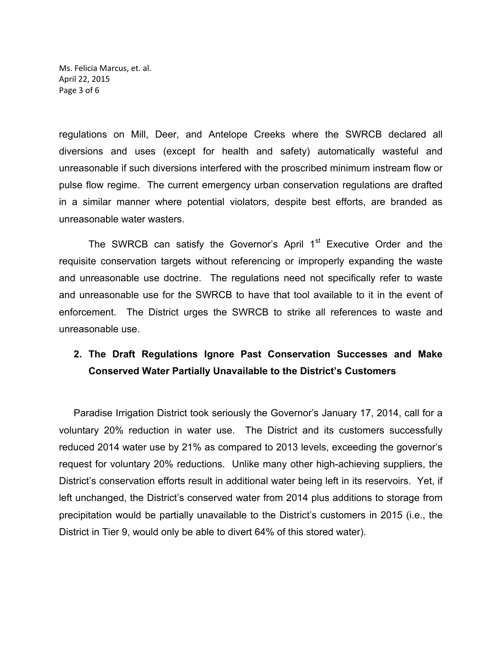Ms. Felicia Marcus, et. al. April 22, 2015 Page 3 of 6

regulations on Mill, Deer, and Antelope Creeks where the SWRCB declared all diversions and uses (except for health and safety) automatically wasteful and unreasonable if such diversions interfered with the proscribed minimum instream flow or pulse flow regime. The current emergency urban conservation regulations are drafted in a similar manner where potential violators, despite best efforts, are branded as unreasonable water wasters.

The SWRCB can satisfy the Governor's April 1<sup>st</sup> Executive Order and the requisite conservation targets without referencing or improperly expanding the waste and unreasonable use doctrine. The regulations need not specifically refer to waste and unreasonable use for the SWRCB to have that tool available to it in the event of enforcement. The District urges the SWRCB to strike all references to waste and unreasonable use.

#### **2. The Draft Regulations Ignore Past Conservation Successes and Make Conserved Water Partially Unavailable to the District's Customers**

Paradise Irrigation District took seriously the Governor's January 17, 2014, call for a voluntary 20% reduction in water use. The District and its customers successfully reduced 2014 water use by 21% as compared to 2013 levels, exceeding the governor's request for voluntary 20% reductions. Unlike many other high-achieving suppliers, the District's conservation efforts result in additional water being left in its reservoirs. Yet, if left unchanged, the District's conserved water from 2014 plus additions to storage from precipitation would be partially unavailable to the District's customers in 2015 (i.e., the District in Tier 9, would only be able to divert 64% of this stored water).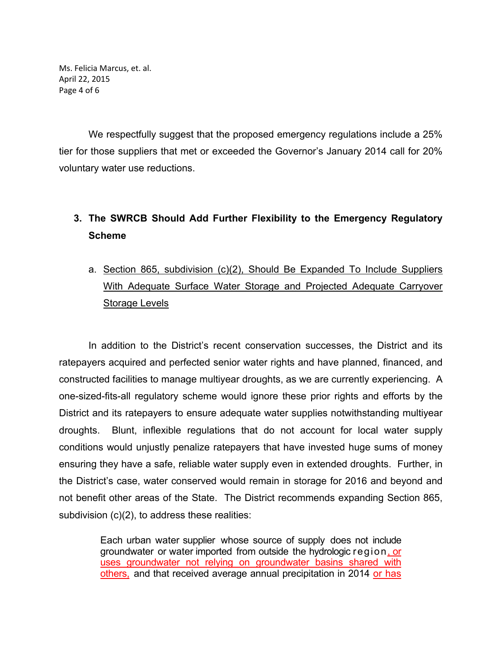Ms. Felicia Marcus, et. al. April 22, 2015 Page 4 of 6

We respectfully suggest that the proposed emergency regulations include a 25% tier for those suppliers that met or exceeded the Governor's January 2014 call for 20% voluntary water use reductions.

## **3. The SWRCB Should Add Further Flexibility to the Emergency Regulatory Scheme**

a. Section 865, subdivision (c)(2), Should Be Expanded To Include Suppliers With Adequate Surface Water Storage and Projected Adequate Carryover Storage Levels

In addition to the District's recent conservation successes, the District and its ratepayers acquired and perfected senior water rights and have planned, financed, and constructed facilities to manage multiyear droughts, as we are currently experiencing. A one-sized-fits-all regulatory scheme would ignore these prior rights and efforts by the District and its ratepayers to ensure adequate water supplies notwithstanding multiyear droughts. Blunt, inflexible regulations that do not account for local water supply conditions would unjustly penalize ratepayers that have invested huge sums of money ensuring they have a safe, reliable water supply even in extended droughts. Further, in the District's case, water conserved would remain in storage for 2016 and beyond and not benefit other areas of the State. The District recommends expanding Section 865, subdivision (c)(2), to address these realities:

> Each urban water supplier whose source of supply does not include groundwater or water imported from outside the hydrologic region, or uses groundwater not relying on groundwater basins shared with others, and that received average annual precipitation in 2014 or has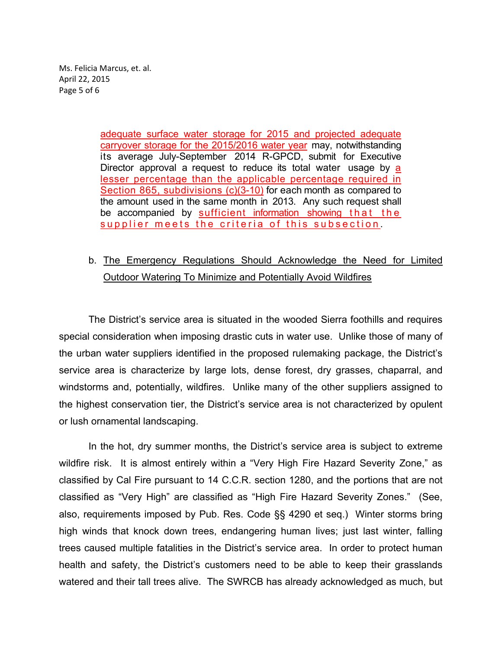Ms. Felicia Marcus, et. al. April 22, 2015 Page 5 of 6

> adequate surface water storage for 2015 and projected adequate carryover storage for the 2015/2016 water year may, notwithstanding its average July-September 2014 R-GPCD, submit for Executive Director approval a request to reduce its total water usage by a lesser percentage than the applicable percentage required in Section 865, subdivisions (c)(3-10) for each month as compared to the amount used in the same month in 2013. Any such request shall be accompanied by sufficient information showing that the supplier meets the criteria of this subsection.

### b. The Emergency Regulations Should Acknowledge the Need for Limited Outdoor Watering To Minimize and Potentially Avoid Wildfires

The District's service area is situated in the wooded Sierra foothills and requires special consideration when imposing drastic cuts in water use. Unlike those of many of the urban water suppliers identified in the proposed rulemaking package, the District's service area is characterize by large lots, dense forest, dry grasses, chaparral, and windstorms and, potentially, wildfires. Unlike many of the other suppliers assigned to the highest conservation tier, the District's service area is not characterized by opulent or lush ornamental landscaping.

In the hot, dry summer months, the District's service area is subject to extreme wildfire risk. It is almost entirely within a "Very High Fire Hazard Severity Zone," as classified by Cal Fire pursuant to 14 C.C.R. section 1280, and the portions that are not classified as "Very High" are classified as "High Fire Hazard Severity Zones." (See, also, requirements imposed by Pub. Res. Code §§ 4290 et seq.) Winter storms bring high winds that knock down trees, endangering human lives; just last winter, falling trees caused multiple fatalities in the District's service area. In order to protect human health and safety, the District's customers need to be able to keep their grasslands watered and their tall trees alive. The SWRCB has already acknowledged as much, but